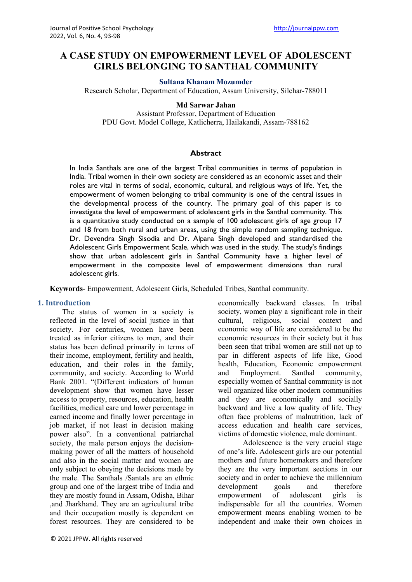# **A CASE STUDY ON EMPOWERMENT LEVEL OF ADOLESCENT GIRLS BELONGING TO SANTHAL COMMUNITY**

#### **Sultana Khanam Mozumder**

Research Scholar, Department of Education, Assam University, Silchar-788011

#### **Md Sarwar Jahan**

Assistant Professor, Department of Education PDU Govt. Model College, Katlicherra, Hailakandi, Assam-788162

#### **Abstract**

In India Santhals are one of the largest Tribal communities in terms of population in India. Tribal women in their own society are considered as an economic asset and their roles are vital in terms of social, economic, cultural, and religious ways of life. Yet, the empowerment of women belonging to tribal community is one of the central issues in the developmental process of the country. The primary goal of this paper is to investigate the level of empowerment of adolescent girls in the Santhal community. This is a quantitative study conducted on a sample of 100 adolescent girls of age group 17 and 18 from both rural and urban areas, using the simple random sampling technique. Dr. Devendra Singh Sisodia and Dr. Alpana Singh developed and standardised the Adolescent Girls Empowerment Scale, which was used in the study. The study's findings show that urban adolescent girls in Santhal Community have a higher level of empowerment in the composite level of empowerment dimensions than rural adolescent girls.

**Keywords**- Empowerment, Adolescent Girls, Scheduled Tribes, Santhal community.

#### **1. Introduction**

The status of women in a society is reflected in the level of social justice in that society. For centuries, women have been treated as inferior citizens to men, and their status has been defined primarily in terms of their income, employment, fertility and health, education, and their roles in the family, community, and society. According to World Bank 2001. "(Different indicators of human development show that women have lesser access to property, resources, education, health facilities, medical care and lower percentage in earned income and finally lower percentage in job market, if not least in decision making power also". In a conventional patriarchal society, the male person enjoys the decisionmaking power of all the matters of household and also in the social matter and women are only subject to obeying the decisions made by the male. The Santhals /Santals are an ethnic group and one of the largest tribe of India and they are mostly found in Assam, Odisha, Bihar ,and Jharkhand. They are an agricultural tribe and their occupation mostly is dependent on forest resources. They are considered to be

economically backward classes. In tribal society, women play a significant role in their cultural, religious, social context and economic way of life are considered to be the economic resources in their society but it has been seen that tribal women are still not up to par in different aspects of life like, Good health, Education, Economic empowerment and Employment. Santhal community, especially women of Santhal community is not well organized like other modern communities and they are economically and socially backward and live a low quality of life. They often face problems of malnutrition, lack of access education and health care services, victims of domestic violence, male dominant.

Adolescence is the very crucial stage of one's life. Adolescent girls are our potential mothers and future homemakers and therefore they are the very important sections in our society and in order to achieve the millennium development goals and therefore empowerment of adolescent girls is indispensable for all the countries. Women empowerment means enabling women to be independent and make their own choices in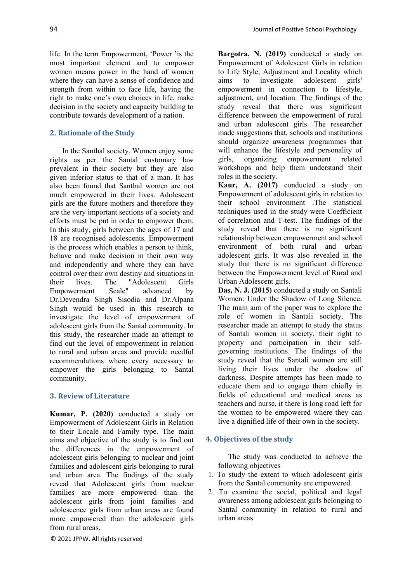life. In the term Empowerment, 'Power 'is the most important element and to empower women means power in the hand of women where they can have a sense of confidence and strength from within to face life, having the right to make one's own choices in life, make decision in the society and capacity building to contribute towards development of a nation.

## **2. Rationale of the Study**

In the Santhal society, Women enjoy some rights as per the Santal customary law prevalent in their society but they are also given inferior status to that of a man. It has also been found that Santhal women are not much empowered in their lives. Adolescent girls are the future mothers and therefore they are the very important sections of a society and efforts must be put in order to empower them. In this study, girls between the ages of 17 and 18 are recognised adolescents. Empowerment is the process which enables a person to think, behave and make decision in their own way and independently and where they can have control over their own destiny and situations in their lives. The "Adolescent Girls Empowerment Scale" advanced by Dr.Devendra Singh Sisodia and Dr.Alpana Singh would be used in this research to investigate the level of empowerment of adolescent girls from the Santal community. In this study, the researcher made an attempt to find out the level of empowerment in relation to rural and urban areas and provide needful recommendations where every necessary to empower the girls belonging to Santal community.

#### **3. Review of Literature**

**Kumar, P. (2020)** conducted a study on Empowerment of Adolescent Girls in Relation to their Locale and Family type. The main aims and objective of the study is to find out the differences in the empowerment of adolescent girls belonging to nuclear and joint families and adolescent girls belonging to rural and urban area. The findings of the study reveal that Adolescent girls from nuclear families are more empowered than the adolescent girls from joint families and adolescence girls from urban areas are found more empowered than the adolescent girls from rural areas.

**Bargotra, N. (2019)** conducted a study on Empowerment of Adolescent Girls in relation to Life Style, Adjustment and Locality which aims to investigate adolescent girls' empowerment in connection to lifestyle, adjustment, and location. The findings of the study reveal that there was significant difference between the empowerment of rural and urban adolescent girls. The researcher made suggestions that, schools and institutions should organize awareness programmes that will enhance the lifestyle and personality of girls, organizing empowerment related workshops and help them understand their roles in the society.

**Kaur, A. (2017)** conducted a study on Empowerment of adolescent girls in relation to their school environment .The statistical techniques used in the study were Coefficient of correlation and T-test. The findings of the study reveal that there is no significant relationship between empowerment and school environment of both rural and urban adolescent girls. It was also revealed in the study that there is no significant difference between the Empowerment level of Rural and Urban Adolescent girls.

**Das, N. J. (2015)** conducted a study on Santali Women: Under the Shadow of Long Silence. The main aim of the paper was to explore the role of women in Santali society. The researcher made an attempt to study the status of Santali women in society, their right to property and participation in their selfgoverning institutions. The findings of the study reveal that the Santali women are still living their lives under the shadow of darkness. Despite attempts has been made to educate them and to engage them chiefly in fields of educational and medical areas as teachers and nurse, it there is long road left for the women to be empowered where they can live a dignified life of their own in the society.

#### **4. Objectives of the study**

The study was conducted to achieve the following objectives

- 1. To study the extent to which adolescent girls from the Santal community are empowered.
- 2. To examine the social, political and legal awareness among adolescent girls belonging to Santal community in relation to rural and urban areas.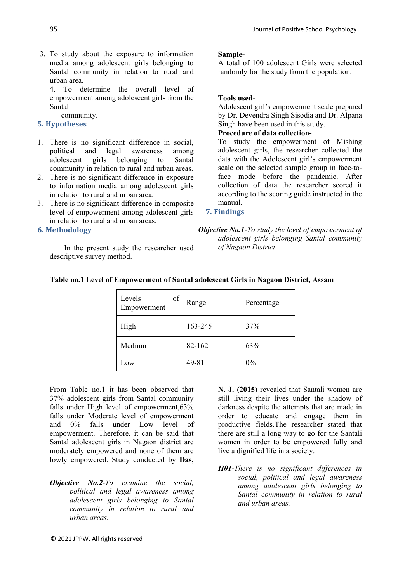3. To study about the exposure to information media among adolescent girls belonging to Santal community in relation to rural and urban area.

4. To determine the overall level of empowerment among adolescent girls from the Santal

community.

# **5. Hypotheses**

- 1. There is no significant difference in social, political and legal awareness among adolescent girls belonging to Santal community in relation to rural and urban areas.
- 2. There is no significant difference in exposure to information media among adolescent girls in relation to rural and urban area.
- 3. There is no significant difference in composite level of empowerment among adolescent girls in relation to rural and urban areas.

## **6. Methodology**

In the present study the researcher used descriptive survey method.

## **Sample-**

A total of 100 adolescent Girls were selected randomly for the study from the population.

# **Tools used-**

Adolescent girl's empowerment scale prepared by Dr. Devendra Singh Sisodia and Dr. Alpana Singh have been used in this study.

# **Procedure of data collection-**

To study the empowerment of Mishing adolescent girls, the researcher collected the data with the Adolescent girl's empowerment scale on the selected sample group in face-toface mode before the pandemic. After collection of data the researcher scored it according to the scoring guide instructed in the manual.

## **7. Findings**

*Objective No.1-To study the level of empowerment of adolescent girls belonging Santal community of Nagaon District*

| of<br>Levels<br>Empowerment | Range   | Percentage |
|-----------------------------|---------|------------|
| High                        | 163-245 | 37%        |
| Medium                      | 82-162  | 63%        |
| Low                         | 49-81   | $0\%$      |

# **Table no.1 Level of Empowerment of Santal adolescent Girls in Nagaon District, Assam**

From Table no.1 it has been observed that 37% adolescent girls from Santal community falls under High level of empowerment,63% falls under Moderate level of empowerment and 0% falls under Low level of empowerment. Therefore, it can be said that Santal adolescent girls in Nagaon district are moderately empowered and none of them are lowly empowered. Study conducted by **Das,**

*Objective No.2-To examine the social, political and legal awareness among adolescent girls belonging to Santal community in relation to rural and urban areas.*

**N. J. (2015)** revealed that Santali women are still living their lives under the shadow of darkness despite the attempts that are made in order to educate and engage them in productive fields.The researcher stated that there are still a long way to go for the Santali women in order to be empowered fully and live a dignified life in a society.

*H01-There is no significant differences in social, political and legal awareness among adolescent girls belonging to Santal community in relation to rural and urban areas.*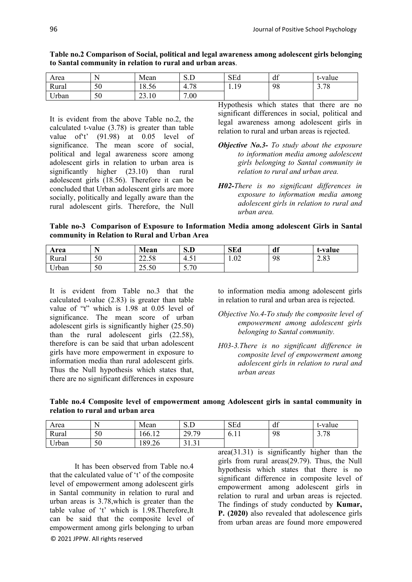| Area                 |    | Mean        | U<br>$\mathbf{r}$<br>ر د  | SEd               | 10<br>Ч<br>u | t-value |
|----------------------|----|-------------|---------------------------|-------------------|--------------|---------|
| Rural                | 50 | 18.56       | 70<br>4.7<br>$^{\circ}$ O | 1 Q<br><b>1.1</b> | 98           | 3.78    |
| $T$ $T$ $T$<br>Urban | 50 | 23.10<br>ົາ | 7.00                      |                   |              |         |

**Table no.2 Comparison of Social, political and legal awareness among adolescent girls belonging to Santal community in relation to rural and urban areas**.

It is evident from the above Table no.2, the calculated t-value (3.78) is greater than table value of't' (91.98) at 0.05 level of significance. The mean score of social, political and legal awareness score among adolescent girls in relation to urban area is significantly higher (23.10) than rural adolescent girls (18.56). Therefore it can be concluded that Urban adolescent girls are more socially, politically and legally aware than the rural adolescent girls. Therefore, the Null Hypothesis which states that there are no significant differences in social, political and legal awareness among adolescent girls in relation to rural and urban areas is rejected.

- *Objective No.3- To study about the exposure to information media among adolescent girls belonging to Santal community in relation to rural and urban area.*
- *H02-There is no significant differences in exposure to information media among adolescent girls in relation to rural and urban area.*

**Table no-3 Comparison of Exposure to Information Media among adolescent Girls in Santal community in Relation to Rural and Urban Area**

| Area  |    | Mean  | S.D  | <b>SEd</b> | df | t-value |
|-------|----|-------|------|------------|----|---------|
| Rural | 50 | 22.58 | 4.JI | 1.02       | 98 | 2.83    |
| Urban | 50 | 25.50 | 5.70 |            |    |         |

It is evident from Table no.3 that the calculated t-value (2.83) is greater than table value of "t" which is 1.98 at 0.05 level of significance. The mean score of urban adolescent girls is significantly higher (25.50) than the rural adolescent girls (22.58), therefore is can be said that urban adolescent girls have more empowerment in exposure to information media than rural adolescent girls. Thus the Null hypothesis which states that, there are no significant differences in exposure

to information media among adolescent girls in relation to rural and urban area is rejected.

*Objective No.4-To study the composite level of empowerment among adolescent girls belonging to Santal community.*

*H03-3.There is no significant difference in composite level of empowerment among adolescent girls in relation to rural and urban areas*

|                                  | Table no.4 Composite level of empowerment among Adolescent girls in santal community in |  |  |  |
|----------------------------------|-----------------------------------------------------------------------------------------|--|--|--|
| relation to rural and urban area |                                                                                         |  |  |  |

| Area  |    | Mean   | $\alpha$ $\mathbf{\Gamma}$<br>ر د | SEd   | df | t-value                    |
|-------|----|--------|-----------------------------------|-------|----|----------------------------|
| Rural | 50 | 166.12 | 70<br>20<br>$\overline{2}$ .      | v. 11 | 98 | 70<br>$\sim$<br>′ o<br>، ب |
| Urban | 50 | 189.26 | $\sim$<br>$^{\sim}$ 1<br>1.J 1.   |       |    |                            |

It has been observed from Table no.4 that the calculated value of 't' of the composite level of empowerment among adolescent girls in Santal community in relation to rural and urban areas is 3.78,which is greater than the table value of 't' which is 1.98.Therefore,It can be said that the composite level of empowerment among girls belonging to urban

area(31.31) is significantly higher than the girls from rural areas(29.79). Thus, the Null hypothesis which states that there is no significant difference in composite level of empowerment among adolescent girls in relation to rural and urban areas is rejected. The findings of study conducted by **Kumar, P. (2020)** also revealed that adolescence girls from urban areas are found more empowered